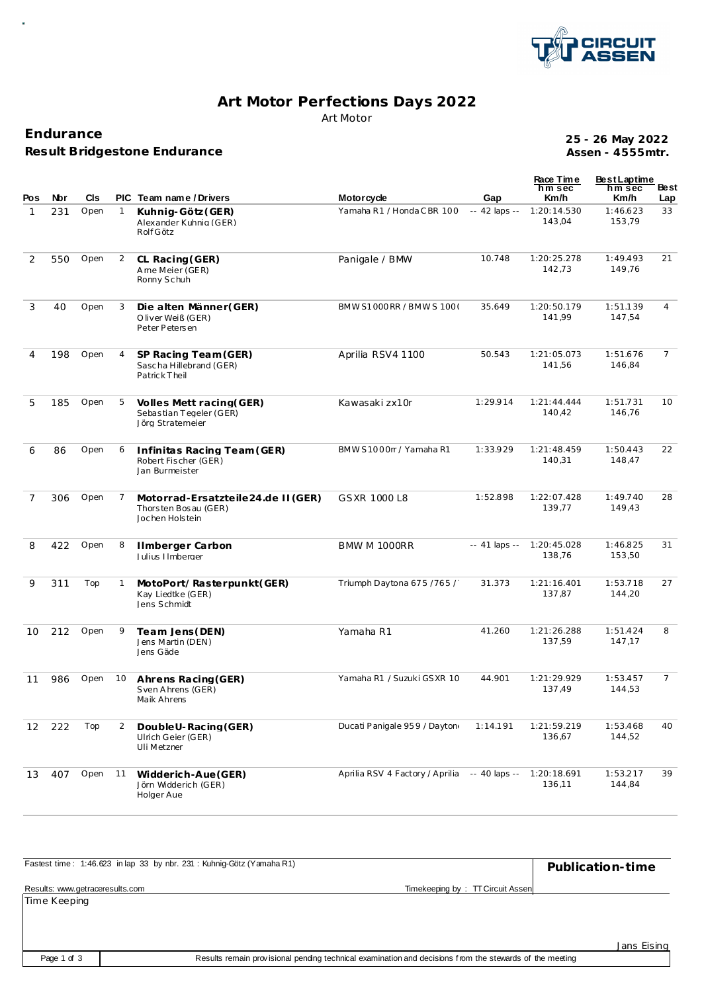

## Art Motor Perfections Days 2022 Art Motor

Endurance Result Bridgestone Endurance

25 - 26 May 2022 Assen - 4555mtr.

| Pos            | Nbr | CIs  |              | PIC Team name / Drivers                                                       | <b>Motorcycle</b>               | Gap            | Race Time<br>$nm$ sec<br>Km/h | <b>BestLaptime</b><br>hm sec<br>Km/h | Be st<br>Lap   |
|----------------|-----|------|--------------|-------------------------------------------------------------------------------|---------------------------------|----------------|-------------------------------|--------------------------------------|----------------|
| $\mathbf{1}$   | 231 | Open | $\mathbf{1}$ | Kuhnig-Götz (GER)<br>Alexander Kuhnig (GER)<br>Rolf Götz                      | Yamaha R1 / Honda C BR 100      | -- 42 laps --  | 1:20:14.530<br>143,04         | 1:46.623<br>153,79                   | 33             |
| 2              | 550 | Open | 2            | CL Racing (GER)<br>Ame Meier (GER)<br>Ronny Schuh                             | Panigale / BMW                  | 10.748         | 1:20:25.278<br>142,73         | 1:49.493<br>149,76                   | 21             |
| 3              | 40  | Open | 3            | Die alten Männer (GER)<br>Oliver Weiß (GER)<br>Peter Petersen                 | BMW S1000 RR / BMW S 100 (      | 35.649         | 1:20:50.179<br>141,99         | 1:51.139<br>147,54                   | $\overline{4}$ |
| 4              | 198 | Open | 4            | SP Racing Team (GER)<br>Sascha Hillebrand (GER)<br>PatrickTheil               | Aprilia RSV4 1100               | 50.543         | 1:21:05.073<br>141,56         | 1:51.676<br>146,84                   | $\overline{7}$ |
| 5              | 185 | Open | 5            | Volles Mett racing (GER)<br>Sebastian Tegeler (GER)<br>Jörg Stratemeier       | Kawasaki zx10r                  | 1:29.914       | 1:21:44.444<br>140,42         | 1:51.731<br>146,76                   | 10             |
| 6              | 86  | Open | 6            | Infinitas Racing Team (GER)<br>Robert Fischer (GER)<br>Jan Burmeister         | BMW S1000rr / Yamaha R1         | 1:33.929       | 1:21:48.459<br>140,31         | 1:50.443<br>148,47                   | 22             |
| $\overline{7}$ | 306 | Open | 7            | Motorrad-Ersatzteile24.de II (GER)<br>Thorsten Bosau (GER)<br>Jochen Holstein | GSXR 1000 L8                    | 1:52.898       | 1:22:07.428<br>139,77         | 1:49.740<br>149,43                   | 28             |
| 8              | 422 | Open | 8            | Ilmberger Carbon<br>Julius IImberger                                          | BMW M 1000RR                    | $-41$ laps $-$ | 1:20:45.028<br>138,76         | 1:46.825<br>153,50                   | 31             |
| 9              | 311 | Top  | 1            | MotoPort/Rasterpunkt(GER)<br>Kay Liedtke (GER)<br>Jens Schmidt                | Triumph Daytona 675 / 765 /     | 31.373         | 1:21:16.401<br>137,87         | 1:53.718<br>144,20                   | 27             |
| 10             | 212 | Open | 9            | Team Jens (DEN)<br>Jens Martin (DEN)<br>Jens Gäde                             | Yamaha R1                       | 41.260         | 1:21:26.288<br>137,59         | 1:51.424<br>147,17                   | 8              |
| 11             | 986 | Open | 10           | Ahrens Racing (GER)<br>Sven Ahrens (GER)<br>Maik Ahrens                       | Yamaha R1 / Suzuki GSXR 10      | 44.901         | 1:21:29.929<br>137,49         | 1:53.457<br>144,53                   | $\overline{7}$ |
| 12             | 222 | Top  | 2            | Double U-Racing (GER)<br>Ulrich Geier (GER)<br>Uli Metzner                    | Ducati Panigale 959 / Dayton    | 1:14.191       | 1:21:59.219<br>136,67         | 1:53.468<br>144,52                   | 40             |
| 13             | 407 | Open | 11           | Widderich-Aue (GER)<br>Jörn Widderich (GER)<br>Holger Aue                     | Aprilia RSV 4 Factory / Aprilia | -- 40 laps --  | 1:20:18.691<br>136,11         | 1:53.217<br>144,84                   | 39             |

| Fastest time: 1:46.623 in lap 33 by nbr. 231: Kuhnig-Götz (Yamaha R1) |                                  | Publication-time |
|-----------------------------------------------------------------------|----------------------------------|------------------|
| Results: www.getraceresults.com                                       | Timekeeping by: TT Circuit Assen |                  |
| Time Keening                                                          |                                  |                  |

Page 1 of 3

Jans Eising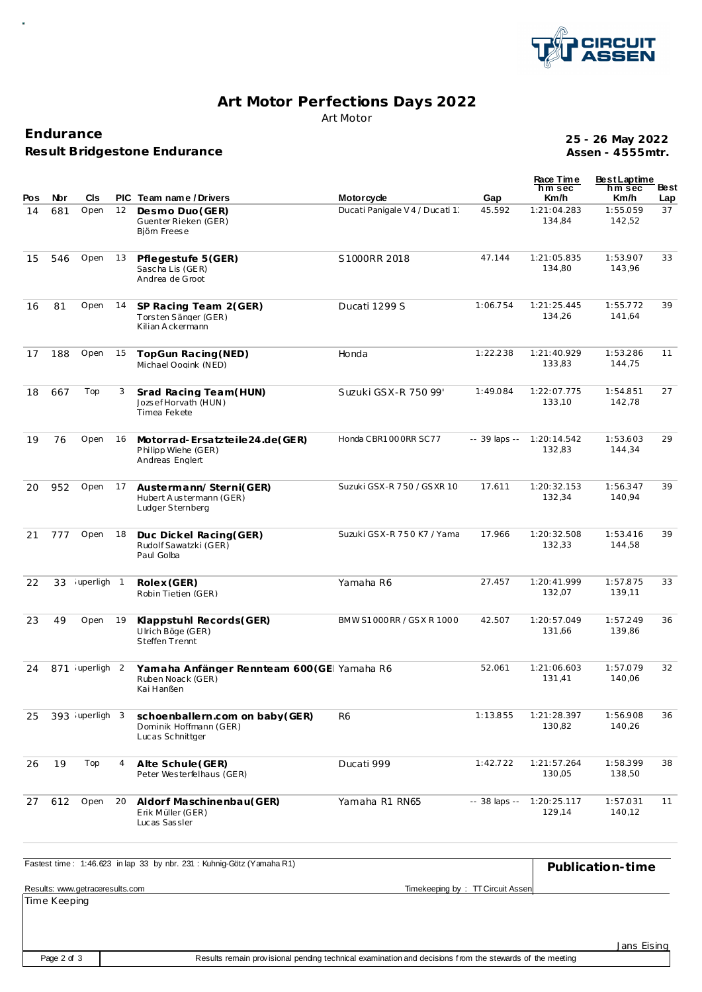

## **Art Motor Perfections Days 2022** Art Motor

**Endurance Result Bridgestone Endurance**

**Assen - 4555mtr. 25 - 26 May 2022**

| Pos | Nbr | CIs.           |    | PIC Team name/Drivers                                                         | <b>Motorcycle</b>               | Gap           | Race Time<br>hm sec<br>Km/h | <b>BestLaptime</b><br>hm sec<br>Km/h | Best<br>Lap |
|-----|-----|----------------|----|-------------------------------------------------------------------------------|---------------------------------|---------------|-----------------------------|--------------------------------------|-------------|
| 14  | 681 | Open           | 12 | Desmo Duo (GER)<br>Guenter Rieken (GER)<br>Biöm Freese                        | Ducati Panigale V 4 / Ducati 1. | 45.592        | 1:21:04.283<br>134,84       | 1:55.059<br>142,52                   | 37          |
| 15  | 546 | Open           | 13 | Pflegestufe 5 (GER)<br>Sascha Lis (GER)<br>Andrea de Groot                    | S1000RR 2018                    | 47.144        | 1:21:05.835<br>134,80       | 1:53.907<br>143,96                   | 33          |
| 16  | 81  | Open           | 14 | SP Racing Team 2(GER)<br>Torsten Sänger (GER)<br>Kilian Ackermann             | Ducati 1299 S                   | 1:06.754      | 1:21:25.445<br>134,26       | 1:55.772<br>141,64                   | 39          |
| 17  | 188 | Open           | 15 | TopGun Racing (NED)<br>Michael Oogink (NED)                                   | Honda                           | 1:22.238      | 1:21:40.929<br>133,83       | 1:53.286<br>144,75                   | 11          |
| 18  | 667 | Top            | 3  | Srad Racing Team(HUN)<br>Jozsef Horvath (HUN)<br>Timea Fekete                 | Suzuki GSX-R 750 99'            | 1:49.084      | 1:22:07.775<br>133,10       | 1:54.851<br>142,78                   | 27          |
| 19  | 76  | Open           | 16 | Motorrad-Ersatzteile24.de(GER)<br>Philipp Wiehe (GER)<br>Andreas Englert      | Honda CBR1000RR SC77            | -- 39 laps -- | 1:20:14.542<br>132,83       | 1:53.603<br>144,34                   | 29          |
| 20  | 952 | Open           | 17 | Austermann/Sterni(GER)<br>Hubert A us termann (GER)<br>Ludger Sternberg       | Suzuki GSX-R 750 / GSXR 10      | 17.611        | 1:20:32.153<br>132,34       | 1:56.347<br>140.94                   | 39          |
| 21  | 777 | Open           | 18 | Duc Dickel Racing(GER)<br>Rudolf Sawatzki (GER)<br>Paul Golba                 | Suzuki GSX-R 750 K7 / Yama      | 17.966        | 1:20:32.508<br>132,33       | 1:53.416<br>144,58                   | 39          |
| 22  | 33  | iuperligh 1    |    | Rolex (GER)<br>Robin Tietjen (GER)                                            | Yamaha R6                       | 27.457        | 1:20:41.999<br>132,07       | 1:57.875<br>139,11                   | 33          |
| 23  | 49  | Open           | 19 | Klappstuhl Records(GER)<br>Ulrich Böge (GER)<br>Steffen Trennt                | BMW S1000 RR / GSX R 1000       | 42.507        | 1:20:57.049<br>131,66       | 1:57.249<br>139,86                   | 36          |
| 24  |     | 871 uperligh 2 |    | Yamaha Anfänger Rennteam 600 (GE Yamaha R6<br>Ruben Noack (GER)<br>Kai Hanßen |                                 | 52.061        | 1:21:06.603<br>131,41       | 1:57.079<br>140,06                   | 32          |
| 25  |     | 393 uperligh 3 |    | schoenballern.com on baby (GER)<br>Dominik Hoffmann (GER)<br>Lucas Schnittger | R <sub>6</sub>                  | 1:13.855      | 1:21:28.397<br>130,82       | 1:56.908<br>140,26                   | 36          |
| 26  | 19  | Top            | 4  | Alte Schule (GER)<br>Peter Westerfelhaus (GER)                                | Ducati 999                      | 1:42.722      | 1:21:57.264<br>130,05       | 1:58.399<br>138,50                   | 38          |
| 27  | 612 | Open           | 20 | Aldorf Maschinenbau(GER)<br>Erik Müller (GER)<br>Lucas Sassler                | Yamaha R1 RN65                  | -- 38 laps -- | 1:20:25.117<br>129,14       | 1:57.031<br>140,12                   | 11          |
|     |     |                |    |                                                                               |                                 |               |                             |                                      |             |

| Fastest time: 1:46.623 in lap 33 by nbr. 231: Kuhnig-Götz (Yamaha R1) |                                  | Publication-time |
|-----------------------------------------------------------------------|----------------------------------|------------------|
| Results: www.getraceresults.com                                       | Timekeeping by: TT Circuit Assen |                  |
| There is a little contractor                                          |                                  |                  |

Time Keeping

Jans Eising